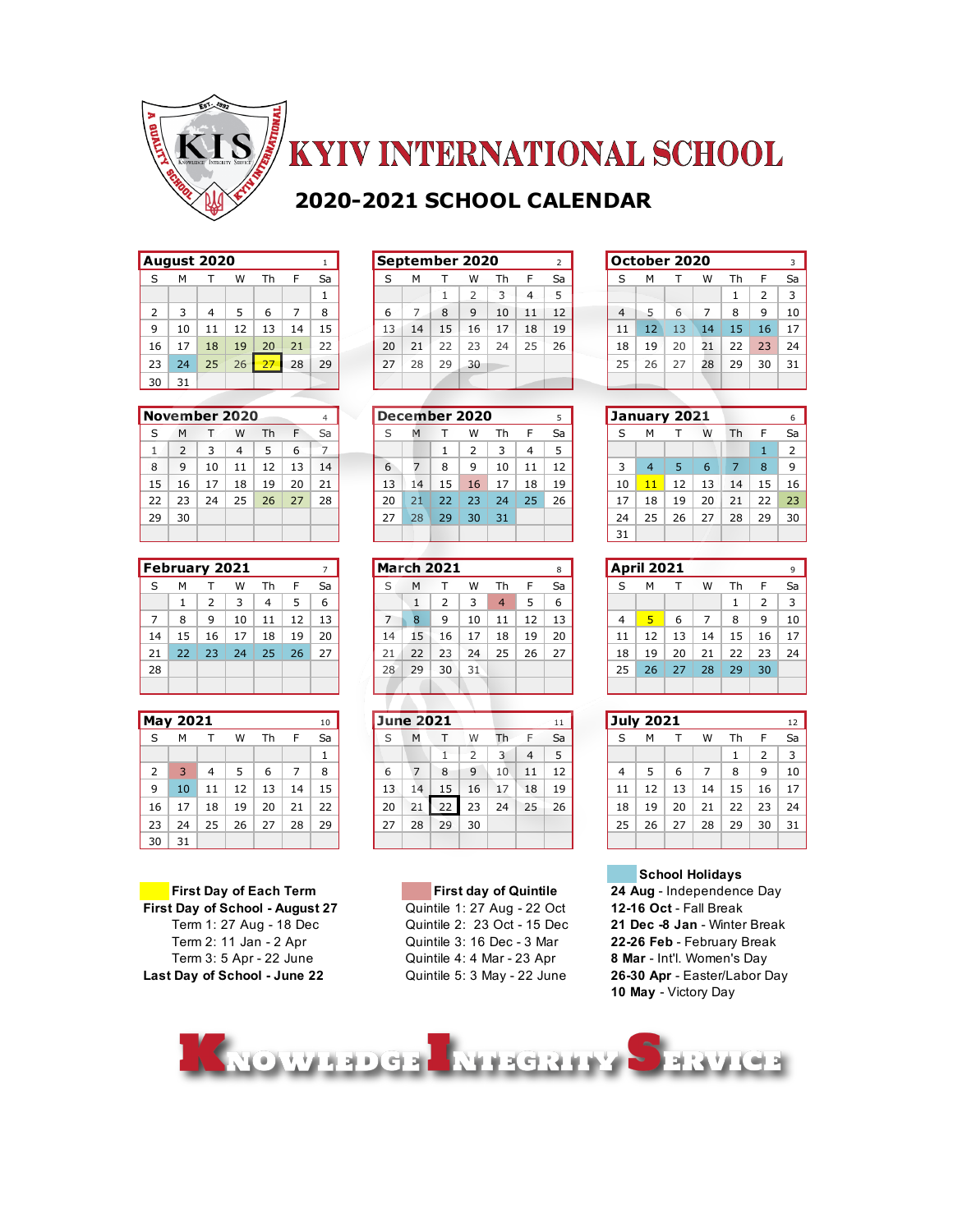

## **KYIV INTERNATIONAL SCHOOL**

## **2020-2021 SCHOOL CALENDAR**

|                | August 2020 |                |    |    |    | 1  |
|----------------|-------------|----------------|----|----|----|----|
| S              | м           | т              | W  | Th | F  | Sa |
|                |             |                |    |    |    | 1  |
| $\overline{2}$ | 3           | $\overline{4}$ | 5  | 6  | 7  | 8  |
| 9              | 10          | 11             | 12 | 13 | 14 | 15 |
| 16             | 17          | 18             | 19 | 20 | 21 | 22 |
| 23             | 24          | 25             | 26 | 27 | 28 | 29 |
| 30             | 31          |                |    |    |    |    |
|                |             |                |    |    |    |    |

|    | November 2020 |    |    |    |    | 4  |
|----|---------------|----|----|----|----|----|
| S  | м             |    | w  | Th | F  | Sa |
| 1  | 2             | 3  | 4  | 5  | 6  |    |
| 8  | 9             | 10 | 11 | 12 | 13 | 14 |
| 15 | 16            | 17 | 18 | 19 | 20 | 21 |
| 22 | 23            | 24 | 25 | 26 | 27 | 28 |
| 29 | 30            |    |    |    |    |    |
|    |               |    |    |    |    |    |

|    | <b>February 2021</b> |    |    |    |    |    |
|----|----------------------|----|----|----|----|----|
| S  | м                    | т  | w  | Тh | F  | Sa |
|    | 1                    | 2  | 3  | 4  | 5  | 6  |
| 7  | 8                    | 9  | 10 | 11 | 12 | 13 |
| 14 | 15                   | 16 | 17 | 18 | 19 | 20 |
| 21 | 22                   | 23 | 24 | 25 | 26 | 27 |
| 28 |                      |    |    |    |    |    |
|    |                      |    |    |    |    |    |

|    | <b>May 2021</b> |    |    |    |    | 10 |
|----|-----------------|----|----|----|----|----|
| S  | м               | т  | W  | Th | F  | Sa |
|    |                 |    |    |    |    | 1  |
| 2  | 3               | 4  | 5  | 6  | 7  | 8  |
| 9  | 10              | 11 | 12 | 13 | 14 | 15 |
| 16 | 17              | 18 | 19 | 20 | 21 | 22 |
| 23 | 24              | 25 | 26 | 27 | 28 | 29 |
| 30 | 31              |    |    |    |    |    |

**First Day of School - August 27** Quintile 1: 27 Aug - 22 Oct **12-16 Oct** - Fall Break **Last Day of School - June 22** Quintile 5: 3 May - 22 June **26-30 Apr** - Easter/Labor Day

|    |    | August 2020 |    |    |    |    |    |    |    | September 2020 |    |    |    |    |    | October 2020 |    |    |    | 3  |
|----|----|-------------|----|----|----|----|----|----|----|----------------|----|----|----|----|----|--------------|----|----|----|----|
|    | м  |             | w  | Гh |    | Sa |    | м  |    | w              | Тh |    | Sa | S  | м  |              | W  | Th |    | Sa |
|    |    |             |    |    |    |    |    |    |    |                |    | 4  |    |    |    |              |    |    |    | 3  |
|    |    | 4           |    | 6  |    | 8  | 6  |    | 8  | q              | 10 | 11 | 12 | 4  |    |              |    | 8  | a  | 10 |
| q  | 10 |             | 12 | 13 | 14 | 15 | 13 | 14 | 15 | 16             | 17 | 18 | 19 | 11 | 12 | 13           | 14 | 15 | 16 | 17 |
| 16 | 17 | 18          | 19 | 20 | 21 | 22 | 20 | 21 | 22 | 23             | 24 | 25 | 26 | 18 | 19 | 20           | 21 | 22 | 23 | 24 |
| 23 | 24 | 25          | 26 | 27 | 28 | 29 | 27 | 28 | 29 | 30             |    |    |    | 25 | 26 |              | 28 | 29 | 30 | 31 |
| 30 | 31 |             |    |    |    |    |    |    |    |                |    |    |    |    |    |              |    |    |    |    |

|    |    | November 2020. |    |    |    | 4  |    |    | December 2020 |    |    |    |    |    | January 2021 |    |    |    |    | 6             |
|----|----|----------------|----|----|----|----|----|----|---------------|----|----|----|----|----|--------------|----|----|----|----|---------------|
|    | м  |                | W  | Th |    | Sa |    | M  |               | w  | Th |    | Sa |    | м            |    | W  | Th |    | Sa            |
|    |    |                | 4  |    | 6  |    |    |    |               |    |    | 4  |    |    |              |    |    |    |    | $\mathcal{P}$ |
| 8  | 9  | 10             |    | 12 | 13 | 14 | 6  |    | 8             | 9  | 10 | 11 | 12 |    | 4            |    | b  |    | 8  | -9            |
| 15 | 16 |                | 18 | 19 | 20 | 21 | 13 | 14 | 15            | 16 |    | 18 | 19 | 10 |              | 12 | 13 | 14 | 15 | 16            |
| 22 | 23 | 24             | 25 | 26 | 27 | 28 | 20 | 21 | 22            | 23 | 24 | 25 | 26 |    | 18           | 19 | 20 | 21 | 22 | 23            |
| 29 | 30 |                |    |    |    |    | 27 | 28 | 29            | 30 | 31 |    |    | 24 | 25           | 26 | 27 | 28 | 29 | 30            |
|    |    |                |    |    |    |    |    |    |               |    |    |    |    | 31 |              |    |    |    |    |               |

|    |    | February 2021 |                 |    |    |    |    | <b>March 2021</b> |    |    |                  |    | 8  |    | <b>April 2021</b> |    |    |    |    | 9  |
|----|----|---------------|-----------------|----|----|----|----|-------------------|----|----|------------------|----|----|----|-------------------|----|----|----|----|----|
|    | м  |               | w               | Th |    | Sa |    | м                 |    | w  | Th               |    | Sa | S  | м                 |    | w  | Th |    | Sa |
|    |    |               |                 | 4  |    | 6  |    |                   |    |    | $\boldsymbol{a}$ |    | h  |    |                   |    |    |    |    | 3  |
|    | 8  | q             | 10              | 11 | 12 | 13 |    | я                 | 9  | 10 |                  | 12 | 13 |    |                   | h  |    | 8  | q  | 10 |
| 14 | 15 | 16            | 17 <sup>2</sup> | 18 | 19 | 20 | 14 | 15                | 16 | 17 | 18               | 19 | 20 |    | 12                | 13 | 14 | 15 | 16 | 17 |
| 21 | 22 | 23            | 24              | 25 | 26 | 27 | 21 | 22                | 23 | 24 | 25               | 26 | 27 | 18 | 19                | 20 | 21 | 22 | 23 | 24 |
| 28 |    |               |                 |    |    |    | 28 | 29                | 30 | 31 |                  |    |    | 25 | 26                | 27 | 28 | 29 | 30 |    |
|    |    |               |                 |    |    |    |    |                   |    |    |                  |    |    |    |                   |    |    |    |    |    |

|    | May 2021 |    |    |    |    | 10 |
|----|----------|----|----|----|----|----|
|    | M        |    | w  | Гh |    | Sa |
|    |          |    |    |    |    |    |
|    |          | 4  |    | 6  |    | 8  |
| 9  | 10       |    | 12 | 13 | 14 | 15 |
| 16 | 17       | 18 | 19 | 20 | 21 | 22 |
| 23 | 24       | 25 | 26 | 27 | 28 | 29 |
| 30 | 31       |    |    |    |    |    |

Term 2: 11 Jan - 2 Apr Quintile 3: 16 Dec - 3 Mar **22-26 Feb** - February Break Term 3: 5 Apr - 22 June Quintile 4: 4 Mar - 23 Apr **8 Mar** - Int'l. Women's Day

|                |    | October 2020 |    |    |                | 3  |
|----------------|----|--------------|----|----|----------------|----|
| S              | м  | т            | w  | Th | F              | Sa |
|                |    |              |    | 1  | $\overline{2}$ | 3  |
| $\overline{4}$ | 5  | 6            | 7  | 8  | 9              | 10 |
| 11             | 12 | 13           | 14 | 15 | 16             | 17 |
| 18             | 19 | 20           | 21 | 22 | 23             | 24 |
| 25             | 26 | 27           | 28 | 29 | 30             | 31 |
|                |    |              |    |    |                |    |

|    | January 2021   |    |    |    |    | 6  |
|----|----------------|----|----|----|----|----|
| S  | м              |    | W  | Th | F  | Sa |
|    |                |    |    |    | 1  | 2  |
| 3  | $\overline{4}$ | 5  | 6  | 7  | 8  | 9  |
| 10 | 11             | 12 | 13 | 14 | 15 | 16 |
| 17 | 18             | 19 | 20 | 21 | 22 | 23 |
| 24 | 25             | 26 | 27 | 28 | 29 | 30 |
| 31 |                |    |    |    |    |    |

|    | April 2021 |    |    |    |    | 9  |
|----|------------|----|----|----|----|----|
| S  | м          | т  | W  | Th | F  | Sa |
|    |            |    |    | 1  | 2  | 3  |
| 4  | 5          | 6  | 7  | 8  | 9  | 10 |
| 11 | 12         | 13 | 14 | 15 | 16 | 17 |
| 18 | 19         | 20 | 21 | 22 | 23 | 24 |
| 25 | 26         | 27 | 28 | 29 | 30 |    |
|    |            |    |    |    |    |    |

|    | <b>July 2021</b> |    |    |    |              | 12 |
|----|------------------|----|----|----|--------------|----|
| S  | м                | т  | W  | Th | F            | Sa |
|    |                  |    |    | 1  | 2            | 3  |
| 4  | 5                | 6  | 7  | 8  | $\mathsf{Q}$ | 10 |
| 11 | 12               | 13 | 14 | 15 | 16           | 17 |
| 18 | 19               | 20 | 21 | 22 | 23           | 24 |
| 25 | 26               | 27 | 28 | 29 | 30           | 31 |
|    |                  |    |    |    |              |    |

#### **School Holidays**

**First Day of Each Term First day of Quintile 24 Aug** - Independence Day Term 1: 27 Aug - 18 Dec Quintile 2: 23 Oct - 15 Dec **21 Dec -8 Jan** - Winter Break **10 May** - Victory Day